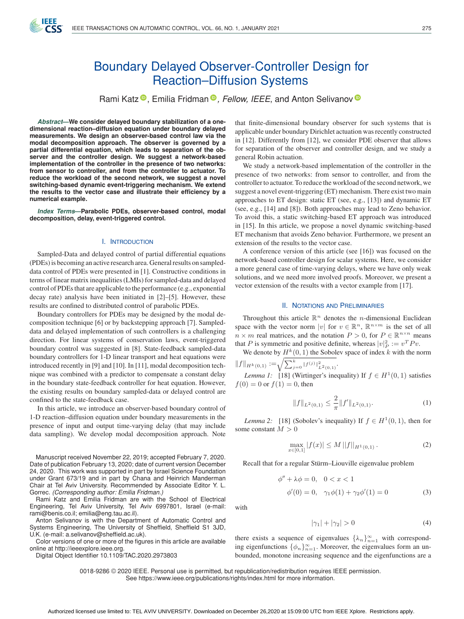

# Boundary Delayed Observer-Controller Design for Reaction–Diffusion Systems

Rami Katz<sup>®</sup>[,](https://orcid.org/0000-0002-8773-9494) Emilia Fridman<sup>®</sup>, Fellow, IEEE, and Anton Selivanov<sup>®</sup>

*Abstract***—We consider delayed boundary stabilization of a onedimensional reaction–diffusion equation under boundary delayed measurements. We design an observer-based control law via the modal decomposition approach. The observer is governed by a partial differential equation, which leads to separation of the observer and the controller design. We suggest a network-based implementation of the controller in the presence of two networks: from sensor to controller, and from the controller to actuator. To reduce the workload of the second network, we suggest a novel switching-based dynamic event-triggering mechanism. We extend the results to the vector case and illustrate their efficiency by a numerical example.**

*Index Terms***—Parabolic PDEs, observer-based control, modal decomposition, delay, event-triggered control.**

#### I. INTRODUCTION

Sampled-Data and delayed control of partial differential equations (PDEs) is becoming an active research area. General results on sampleddata control of PDEs were presented in [1]. Constructive conditions in terms of linear matrix inequalities (LMIs) for sampled-data and delayed control of PDEs that are applicable to the performance (e.g., exponential decay rate) analysis have been initiated in [2]–[5]. However, these results are confined to distributed control of parabolic PDEs.

Boundary controllers for PDEs may be designed by the modal decomposition technique [6] or by backstepping approach [7]. Sampleddata and delayed implementation of such controllers is a challenging direction. For linear systems of conservation laws, event-triggered boundary control was suggested in [8]. State-feedback sampled-data boundary controllers for 1-D linear transport and heat equations were introduced recently in [9] and [10]. In [11], modal decomposition technique was combined with a predictor to compensate a constant delay in the boundary state-feedback controller for heat equation. However, the existing results on boundary sampled-data or delayed control are confined to the state-feedback case.

In this article, we introduce an observer-based boundary control of 1-D reaction–diffusion equation under boundary measurements in the presence of input and output time-varying delay (that may include data sampling). We develop modal decomposition approach. Note

Manuscript received November 22, 2019; accepted February 7, 2020. Date of publication February 13, 2020; date of current version December 24, 2020. This work was supported in part by Israel Science Foundation under Grant 673/19 and in part by Chana and Heinrich Manderman Chair at Tel Aviv University. Recommended by Associate Editor Y. L. Gorrec. *(Corresponding author: Emilia Fridman.)*

Rami Katz and Emilia Fridman are with the School of Electrical Engineering, Tel Aviv University, Tel Aviv 6997801, Israel (e-mail: [rami@benis.co.il;](mailto:rami@benis.co.il) [emilia@eng.tau.ac.il\)](mailto:emilia@eng.tau.ac.il).

Anton Selivanov is with the Department of Automatic Control and Systems Engineering, The University of Sheffield, Sheffield S1 3JD, U.K. (e-mail: [a.selivanov@sheffield.ac.uk\)](mailto:a.selivanov@sheffield.ac.uk).

Color versions of one or more of the figures in this article are available online at [http://ieeexplore.ieee.org.](http://ieeexplore.ieee.org)

Digital Object Identifier 10.1109/TAC.2020.2973803

that finite-dimensional boundary observer for such systems that is applicable under boundary Dirichlet actuation was recently constructed in [12]. Differently from [12], we consider PDE observer that allows for separation of the observer and controller design, and we study a general Robin actuation.

We study a network-based implementation of the controller in the presence of two networks: from sensor to controller, and from the controller to actuator. To reduce the workload of the second network, we suggest a novel event-triggering (ET) mechanism. There exist two main approaches to ET design: static ET (see, e.g., [13]) and dynamic ET (see, e.g., [14] and [8]). Both approaches may lead to Zeno behavior. To avoid this, a static switching-based ET approach was introduced in [15]. In this article, we propose a novel dynamic switching-based ET mechanism that avoids Zeno behavior. Furthermore, we present an extension of the results to the vector case.

A conference version of this article (see [16]) was focused on the network-based controller design for scalar systems. Here, we consider a more general case of time-varying delays, where we have only weak solutions, and we need more involved proofs. Moreover, we present a vector extension of the results with a vector example from [17].

## II. NOTATIONS AND PRELIMINARIES

Throughout this article  $\mathbb{R}^n$  denotes the *n*-dimensional Euclidean space with the vector norm |v| for  $v \in \mathbb{R}^n$ ,  $\mathbb{R}^{n \times m}$  is the set of all  $n \times m$  real matrices, and the notation  $P > 0$ , for  $P \in \mathbb{R}^{n \times n}$  means that P is symmetric and positive definite, whereas  $|v|_P^2 := v^T P v$ .

We denote by  $H^k(0, 1)$  the Sobolev space of index k with the norm  $||f||_{H^k(0,1)} := \sqrt{\sum_{j=0}^k ||f^{(j)}||^2_{L^2(0,1)}}.$ 

*Lemma 1:* [18] (Wirtinger's inequality) If 
$$
f \in H^1(0, 1)
$$
 satisfies  $f(0) = 0$  or  $f(1) = 0$ , then

$$
||f||_{L^{2}(0,1)} \leq \frac{2}{\pi} ||f'||_{L^{2}(0,1)}.
$$
 (1)

*Lemma 2:* [18] (Sobolev's inequality) If  $f \in H^1(0, 1)$ , then for some constant  $M > 0$ 

$$
\max_{x \in [0,1]} |f(x)| \le M \, ||f||_{H^1(0,1)} \,. \tag{2}
$$

Recall that for a regular Stürm–Liouville eigenvalue problem

$$
\phi'' + \lambda \phi = 0, \quad 0 < x < 1
$$
\n
$$
\phi'(0) = 0, \quad \gamma_1 \phi(1) + \gamma_2 \phi'(1) = 0
$$
\n
$$
\tag{3}
$$

with

$$
|\gamma_1| + |\gamma_2| > 0 \tag{4}
$$

there exists a sequence of eigenvalues  $\{\lambda_n\}_{n=1}^{\infty}$  with corresponding eigenfunctions  $\{\phi_n\}_{n=1}^{\infty}$ . Moreover, the eigenvalues form an unbounded, monotone increasing sequence and the eigenfunctions are a

0018-9286 © 2020 IEEE. Personal use is permitted, but republication/redistribution requires IEEE permission. See https://www.ieee.org/publications/rights/index.html for more information.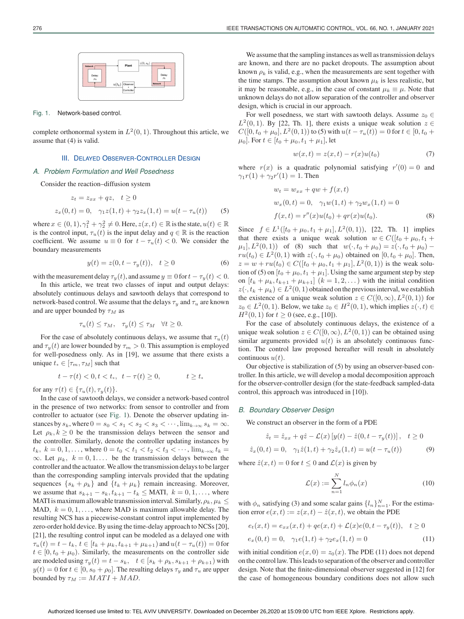#### Fig. 1. Network-based control.

complete orthonormal system in  $L^2(0, 1)$ . Throughout this article, we assume that (4) is valid.

## III. DELAYED OBSERVER-CONTROLLER DESIGN

## *A. Problem Formulation and Well Posedness*

Consider the reaction–diffusion system

$$
z_t = z_{xx} + qz, \quad t \ge 0
$$
  

$$
z_x(0, t) = 0, \quad \gamma_1 z(1, t) + \gamma_2 z_x(1, t) = u(t - \tau_u(t))
$$
 (5)

where  $x \in (0,1), \gamma_1^2 + \gamma_2^2 \neq 0$ . Here,  $z(x,t) \in \mathbb{R}$  is the state,  $u(t) \in \mathbb{R}$ is the control input,  $\tau_u(t)$  is the input delay and  $q \in \mathbb{R}$  is the reaction coefficient. We assume  $u \equiv 0$  for  $t - \tau_u(t) < 0$ . We consider the boundary measurements

$$
y(t) = z(0, t - \tau_y(t)), \quad t \ge 0
$$
 (6)

with the measurement delay  $\tau_y(t)$ , and assume  $y \equiv 0$  for  $t - \tau_y(t) < 0$ .

In this article, we treat two classes of input and output delays: absolutely continuous delays and sawtooth delays that correspond to network-based control. We assume that the delays  $\tau_u$  and  $\tau_u$  are known and are upper bounded by  $\tau_M$  as

$$
\tau_u(t) \le \tau_M, \quad \tau_y(t) \le \tau_M \quad \forall t \ge 0.
$$

For the case of absolutely continuous delays, we assume that  $\tau_u(t)$ and  $\tau_{y}(t)$  are lower bounded by  $\tau_{m} > 0$ . This assumption is employed for well-posedness only. As in [19], we assume that there exists a unique  $t_* \in [\tau_m, \tau_M]$  such that

$$
t - \tau(t) < 0, t < t_*, \ t - \tau(t) \ge 0, \qquad t \ge t_*
$$

for any  $\tau(t) \in {\tau_u(t), \tau_u(t)}$ .

In the case of sawtooth delays, we consider a network-based control in the presence of two networks: from sensor to controller and from controller to actuator (see Fig. 1). Denote the observer updating instances by  $s_k$ , where  $0 = s_0 < s_1 < s_2 < s_3 < \cdots$ ,  $\lim_{k \to \infty} s_k = \infty$ . Let  $\rho_k, k \geq 0$  be the transmission delays between the sensor and the controller. Similarly, denote the controller updating instances by  $t_k, k = 0, 1, \ldots$ , where  $0 = t_0 < t_1 < t_2 < t_3 < \cdots$ ,  $\lim_{k \to \infty} t_k =$  $\infty$ . Let  $\mu_k$ ,  $k = 0, 1, \ldots$  be the transmission delays between the controller and the actuator.We allow the transmission delays to be larger than the corresponding sampling intervals provided that the updating sequences  $\{s_k + \rho_k\}$  and  $\{t_k + \mu_k\}$  remain increasing. Moreover, we assume that  $s_{k+1} - s_k$ ,  $t_{k+1} - t_k \leq \text{MATI}, k = 0, 1, \ldots$ , where MATI is maximum allowable transmission interval. Similarly,  $\rho_k$ ,  $\mu_k \leq$ MAD,  $k = 0, 1, \ldots$ , where MAD is maximum allowable delay. The resulting NCS has a piecewise-constant control input implemented by zero-order hold device. By using the time-delay approach to NCSs [20], [21], the resulting control input can be modeled as a delayed one with  $\tau_u(t) = t - t_k, t \in [t_k + \mu_k, t_{k+1} + \mu_{k+1})$  and  $u(t - \tau_u(t)) = 0$  for  $t \in [0, t_0 + \mu_0)$ . Similarly, the measurements on the controller side are modeled using  $\tau_y(t) = t - s_k$ ,  $t \in [s_k + \rho_k, s_{k+1} + \rho_{k+1})$  with  $y(t)=0$  for  $t \in [0, s_0 + \rho_0]$ . The resulting delays  $\tau_y$  and  $\tau_u$  are upper bounded by  $\tau_M := MATI + MAD$ .

We assume that the sampling instances as well as transmission delays are known, and there are no packet dropouts. The assumption about known  $\rho_k$  is valid, e.g., when the measurements are sent together with the time stamps. The assumption about known  $\mu_k$  is less realistic, but it may be reasonable, e.g., in the case of constant  $\mu_k \equiv \mu$ . Note that unknown delays do not allow separation of the controller and observer design, which is crucial in our approach.

For well posedness, we start with sawtooth delays. Assume  $z_0 \in$  $L^2(0, 1)$ . By [22, Th. 1], there exists a unique weak solution  $z \in$  $C([0, t_0 + \mu_0], L^2(0, 1))$  to (5) with  $u(t - \tau_u(t)) = 0$  for  $t \in [0, t_0 +$  $\mu_0$ . For  $t \in [t_0 + \mu_0, t_1 + \mu_1]$ , let

$$
w(x,t) = z(x,t) - r(x)u(t_0)
$$
\n(7)

where  $r(x)$  is a quadratic polynomial satisfying  $r'(0) = 0$  and  $\gamma_1 r(1) + \gamma_2 r'(1) = 1$ . Then

$$
w_t = w_{xx} + qw + f(x, t)
$$
  
\n
$$
w_x(0, t) = 0, \quad \gamma_1 w(1, t) + \gamma_2 w_x(1, t) = 0
$$
  
\n
$$
f(x, t) = r''(x)u(t_0) + qr(x)u(t_0).
$$
\n(8)

Since  $f \in L^1([t_0 + \mu_0, t_1 + \mu_1], L^2(0, 1))$ , [22, Th. 1] implies that there exists a unique weak solution  $w \in C([t_0 + \mu_0, t_1 +$  $\mu_1$ ,  $L^2(0, 1)$  of (8) such that  $w(\cdot, t_0 + \mu_0) = z(\cdot, t_0 + \mu_0)$  –  $ru(t_0) \in L^2(0,1)$  with  $z(\cdot, t_0 + \mu_0)$  obtained on  $[0, t_0 + \mu_0]$ . Then,  $z = w + ru(t_0) \in C([t_0 + \mu_0, t_1 + \mu_1], L^2(0, 1))$  is the weak solution of (5) on  $[t_0 + \mu_0, t_1 + \mu_1]$ . Using the same argument step by step on  $[t_k + \mu_k, t_{k+1} + \mu_{k+1}]$   $(k = 1, 2, ...)$  with the initial condition  $z(\cdot, t_k + \mu_k) \in L^2(0, 1)$  obtained on the previous interval, we establish the existence of a unique weak solution  $z \in C([0,\infty), L^2(0,1))$  for  $z_0 \in L^2(0,1)$ . Below, we take  $z_0 \in H^2(0,1)$ , which implies  $z(\cdot,t) \in$  $H^2(0, 1)$  for  $t \ge 0$  (see, e.g., [10]).

For the case of absolutely continuous delays, the existence of a unique weak solution  $z \in C([0,\infty), L^2(0,1))$  can be obtained using similar arguments provided  $u(t)$  is an absolutely continuous function. The control law proposed hereafter will result in absolutely continuous  $u(t)$ .

Our objective is stabilization of (5) by using an observer-based controller. In this article, we will develop a modal decomposition approach for the observer-controller design (for the state-feedback sampled-data control, this approach was introduced in [10]).

#### *B. Boundary Observer Design*

We construct an observer in the form of a PDE

$$
\hat{z}_t = \hat{z}_{xx} + q\hat{z} - \mathcal{L}(x) [y(t) - \hat{z}(0, t - \tau_y(t))], \quad t \ge 0
$$

$$
\hat{z}_x(0,t) = 0, \quad \gamma_1 \hat{z}(1,t) + \gamma_2 \hat{z}_x(1,t) = u(t - \tau_u(t)) \tag{9}
$$

where  $\hat{z}(x, t) = 0$  for  $t \le 0$  and  $\mathcal{L}(x)$  is given by

$$
\mathcal{L}(x) := \sum_{n=1}^{N} l_n \phi_n(x) \tag{10}
$$

with  $\phi_n$  satisfying (3) and some scalar gains  $\{l_n\}_{n=1}^N$ . For the estimation error  $e(x, t) := z(x, t) - \hat{z}(x, t)$ , we obtain the PDE

$$
e_t(x,t) = e_{xx}(x,t) + qe(x,t) + \mathcal{L}(x)e(0,t - \tau_y(t)), \quad t \ge 0
$$
  

$$
e_x(0,t) = 0, \quad \gamma_1 e(1,t) + \gamma_2 e_x(1,t) = 0
$$
 (11)

with initial condition  $e(x, 0) = z_0(x)$ . The PDE (11) does not depend on the control law. This leads to separation of the observer and controller design. Note that the finite-dimensional observer suggested in [12] for the case of homogeneous boundary conditions does not allow such

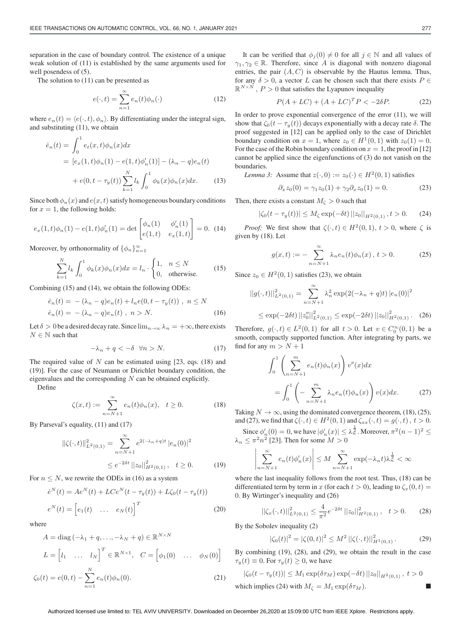separation in the case of boundary control. The existence of a unique weak solution of (11) is established by the same arguments used for well posendess of (5).

The solution to (11) can be presented as

$$
e(\cdot, t) = \sum_{n=1}^{\infty} e_n(t)\phi_n(\cdot)
$$
 (12)

where  $e_n(t) = \langle e(\cdot, t), \phi_n \rangle$ . By differentiating under the integral sign, and substituting (11), we obtain

$$
\dot{e}_n(t) = \int_0^1 e_t(x, t)\phi_n(x)dx
$$
  
=  $[e_x(1, t)\phi_n(1) - e(1, t)\phi'_n(1)] - (\lambda_n - q)e_n(t)$   
+  $e(0, t - \tau_y(t))\sum_{k=1}^N l_k \int_0^1 \phi_k(x)\phi_n(x)dx.$  (13)

Since both  $\phi_n(x)$  and  $e(x, t)$  satisfy homogeneous boundary conditions for  $x = 1$ , the following holds:

$$
e_x(1,t)\phi_n(1) - e(1,t)\phi'_n(1) = \det \begin{bmatrix} \phi_n(1) & \phi'_n(1) \\ e(1,t) & e_x(1,t) \end{bmatrix} = 0.
$$
 (14)

Moreover, by orthonormality of  $\{\phi_n\}_{n=1}^{\infty}$ 

$$
\sum_{k=1}^{N} l_k \int_0^1 \phi_k(x) \phi_n(x) dx = l_n \cdot \begin{cases} 1, & n \le N \\ 0, & \text{otherwise.} \end{cases}
$$
 (15)

Combining (15) and (14), we obtain the following ODEs:

$$
\dot{e}_n(t) = -(\lambda_n - q)e_n(t) + l_n e(0, t - \tau_y(t)), \quad n \le N
$$
  

$$
\dot{e}_n(t) = -(\lambda_n - q)e_n(t), \quad n > N.
$$
 (16)

Let  $\delta > 0$  be a desired decay rate. Since  $\lim_{n\to\infty} \lambda_n = +\infty$ , there exists  $N \in \mathbb{N}$  such that

$$
-\lambda_n + q < -\delta \quad \forall n > N. \tag{17}
$$

The required value of  $N$  can be estimated using [23, eqs. (18) and (19)]. For the case of Neumann or Dirichlet boundary condition, the eigenvalues and the corresponding  $N$  can be obtained explicitly.

Define

$$
\zeta(x,t) := \sum_{n=N+1}^{\infty} e_n(t)\phi_n(x), \quad t \ge 0.
$$
 (18)

By Parseval's equality, (11) and (17)

$$
\begin{aligned} \|\zeta(\cdot,t)\|_{L^2(0,1)}^2 &= \sum_{n=N+1}^{\infty} e^{2(-\lambda_n+q)t} \, |e_n(0)|^2 \\ &\le e^{-2\delta t} \, \|z_0\|_{H^2(0,1)}^2, \quad t \ge 0. \end{aligned} \tag{19}
$$

For  $n \leq N$ , we rewrite the ODEs in (16) as a system

$$
\dot{e}^N(t) = Ae^N(t) + LCe^N(t - \tau_y(t)) + L\zeta_0(t - \tau_y(t))
$$
  

$$
e^N(t) = \begin{bmatrix} e_1(t) & \dots & e_N(t) \end{bmatrix}^T
$$
 (20)

where

$$
A = \text{diag}\left(-\lambda_1 + q, \dots, -\lambda_N + q\right) \in \mathbb{R}^{N \times N}
$$

$$
L = \begin{bmatrix} l_1 & \dots & l_N \end{bmatrix}^T \in \mathbb{R}^{N \times 1}, \quad C = \begin{bmatrix} \phi_1(0) & \dots & \phi_N(0) \end{bmatrix}
$$

$$
\zeta_0(t) = e(0, t) - \sum_{n=1}^N e_n(t)\phi_n(0). \tag{21}
$$

It can be verified that  $\phi_j(0) \neq 0$  for all  $j \in \mathbb{N}$  and all values of  $\gamma_1, \gamma_2 \in \mathbb{R}$ . Therefore, since A is diagonal with nonzero diagonal entries, the pair  $(A, C)$  is observable by the Hautus lemma. Thus, for any  $\delta > 0$ , a vector L can be chosen such that there exists  $P \in$  $\mathbb{R}^{N \times N}$ ,  $P > 0$  that satisfies the Lyapunov inequality

$$
P(A + LC) + (A + LC)^{T}P < -2\delta P. \tag{22}
$$

In order to prove exponential convergence of the error (11), we will show that  $\zeta_0(t - \tau_y(t))$  decays exponentially with a decay rate  $\delta$ . The proof suggested in [12] can be applied only to the case of Dirichlet boundary condition on  $x = 1$ , where  $z_0 \in H^1(0, 1)$  with  $z_0(1) = 0$ . For the case of the Robin boundary condition on  $x = 1$ , the proof in [12] cannot be applied since the eigenfunctions of (3) do not vanish on the boundaries.

*Lemma 3:* Assume that  $z(\cdot, 0) := z_0(\cdot) \in H^2(0, 1)$  satisfies

$$
\partial_x z_0(0) = \gamma_1 z_0(1) + \gamma_2 \partial_x z_0(1) = 0.
$$
 (23)

Then, there exists a constant  $M_{\zeta} > 0$  such that

$$
|\zeta_0(t - \tau_y(t))| \le M_\zeta \exp(-\delta t) ||z_0||_{H^2(0,1)}, t > 0. \tag{24}
$$

*Proof:* We first show that  $\zeta(\cdot,t) \in H^2(0,1)$ ,  $t > 0$ , where  $\zeta$  is given by (18). Let

$$
g(x,t) := -\sum_{n=N+1}^{\infty} \lambda_n e_n(t) \phi_n(x), \ t > 0.
$$
 (25)

Since  $z_0 \in H^2(0, 1)$  satisfies (23), we obtain

$$
||g(\cdot,t)||_{L^{2}(0,1)}^{2} = \sum_{n=N+1}^{\infty} \lambda_{n}^{2} \exp(2(-\lambda_{n} + q)t) |e_{n}(0)|^{2}
$$
  
 
$$
\leq \exp(-2\delta t) ||z_{0}''||_{L^{2}(0,1)}^{2} \leq \exp(-2\delta t) ||z_{0}||_{H^{2}(0,1)}^{2}.
$$
 (26)

Therefore,  $g(\cdot, t) \in L^2(0, 1)$  for all  $t > 0$ . Let  $v \in C_0^{\infty}(0, 1)$  be a smooth, compactly supported function. After integrating by parts, we find for any  $m > N + 1$ 

$$
\int_0^1 \left( \sum_{n=N+1}^m e_n(t) \phi_n(x) \right) v''(x) dx
$$

$$
= \int_0^1 \left( - \sum_{n=N+1}^m \lambda_n e_n(t) \phi_n(x) \right) v(x) dx. \tag{27}
$$

Taking  $N \to \infty$ , using the dominated convergence theorem, (18), (25), and (27), we find that  $\zeta(\cdot, t) \in H^2(0, 1)$  and  $\zeta_{xx}(\cdot, t) = g(\cdot, t)$ ,  $t > 0$ .

Since  $\phi'_n(0) = 0$ , we have  $|\phi'_n(x)| \leq \lambda_n^{\frac{1}{2}}$ . Moreover,  $\pi^2(n-1)^2 \leq$  $\lambda_n \leq \pi^2 n^2$  [23]. Then for some  $M > 0$ 

$$
\left|\sum_{n=N+1}^{\infty} e_n(t)\phi'_n(x)\right| \le M \sum_{n=N+1}^{\infty} \exp(-\lambda_n t)\lambda_n^{\frac{1}{2}} < \infty
$$

where the last inequality follows from the root test. Thus, (18) can be differentiated term by term in x (for each  $t > 0$ ), leading to  $\zeta_x(0, t) =$ 0. By Wirtinger's inequality and (26)

$$
\left\| \zeta_x(\cdot, t) \right\|_{L^2(0, 1)}^2 \le \frac{4}{\pi^2} e^{-2\delta t} \left\| z_0 \right\|_{H^2(0, 1)}^2, \quad t > 0. \tag{28}
$$

By the Sobolev inequality (2)

$$
|\zeta_0(t)|^2 = |\zeta(0,t)|^2 \le M^2 ||\zeta(\cdot,t)||^2_{H^1(0,1)}.
$$
 (29)

By combining (19), (28), and (29), we obtain the result in the case  $\tau_y(t) \equiv 0$ . For  $\tau_y(t) \geq 0$ , we have

$$
|\zeta_0(t-\tau_y(t))| \leq M_1 \exp(\delta \tau_M) \exp(-\delta t) ||z_0||_{H^2(0,1)}, t > 0
$$

which implies (24) with  $M_{\zeta} = M_1 \exp(\delta \tau_M)$ .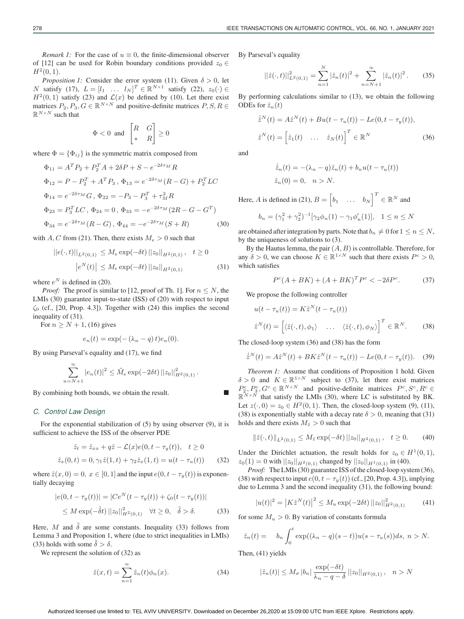*Remark 1:* For the case of  $u \equiv 0$ , the finite-dimensional observer of [12] can be used for Robin boundary conditions provided  $z_0 \in$  $H^2(0,1)$ .

*Proposition 1:* Consider the error system (11). Given  $\delta > 0$ , let N satisfy (17),  $L = [l_1 \dots l_N]^T \in \mathbb{R}^{N \times 1}$  satisfy (22),  $z_0(\cdot) \in$  $H<sup>2</sup>(0, 1)$  satisfy (23) and  $\mathcal{L}(x)$  be defined by (10). Let there exist matrices  $P_2, P_3, G \in \mathbb{R}^{N \times N}$  and positive-definite matrices  $P, S, R \in$  $\mathbb{R}^{N\times N}$  such that

$$
\Phi < 0 \text{ and } \begin{bmatrix} R & G \\ * & R \end{bmatrix} \ge 0
$$

where  $\Phi = {\Phi_{ij}}$  is the symmetric matrix composed from

$$
\Phi_{11} = A^T P_2 + P_2^T A + 2\delta P + S - e^{-2\delta \tau_M} R
$$
  
\n
$$
\Phi_{12} = P - P_2^T + A^T P_3, \ \Phi_{13} = e^{-2\delta \tau_M} (R - G) + P_2^T LC
$$
  
\n
$$
\Phi_{14} = e^{-2\delta \tau_M} G, \ \Phi_{22} = -P_3 - P_3^T + \tau_M^2 R
$$
  
\n
$$
\Phi_{23} = P_3^T LC, \ \Phi_{24} = 0, \ \Phi_{33} = -e^{-2\delta \tau_M} (2R - G - G^T)
$$
  
\n
$$
\Phi_{34} = e^{-2\delta \tau_M} (R - G), \ \Phi_{44} = -e^{-2\delta \tau_M} (S + R)
$$
\n(30)

with A, C from (21). Then, there exists  $M_e > 0$  such that

$$
||e(\cdot, t)||_{L^{2}(0, 1)} \leq M_{e} \exp(-\delta t) ||z_{0}||_{H^{2}(0, 1)}, \quad t \geq 0
$$

$$
|e^{N}(t)| \leq M_{e} \exp(-\delta t) ||z_{0}||_{H^{2}(0, 1)}
$$
(31)

where  $e^N$  is defined in (20).

*Proof:* The proof is similar to [12, proof of Th. 1]. For  $n \leq N$ , the LMIs (30) guarantee input-to-state (ISS) of (20) with respect to input  $\zeta_0$  (cf., [20, Prop. 4.3]). Together with (24) this implies the second inequality of (31).

For  $n \geq N + 1$ , (16) gives

$$
e_n(t) = \exp(-(\lambda_n - q)t)e_n(0).
$$

By using Parseval's equality and (17), we find

$$
\sum_{n=N+1}^{\infty} |e_n(t)|^2 \leq \tilde{M}_e \exp(-2\delta t) ||z_0||^2_{H^2(0,1)}.
$$

By combining both bounds, we obtain the result.

#### *C. Control Law Design*

For the exponential stabilization of (5) by using observer (9), it is sufficient to achieve the ISS of the observer PDE

$$
\hat{z}_t = \hat{z}_{xx} + q\hat{z} - \mathcal{L}(x)e(0, t - \tau_y(t)), \quad t \ge 0
$$
  

$$
\hat{z}_x(0, t) = 0, \gamma_1 \hat{z}(1, t) + \gamma_2 \hat{z}_x(1, t) = u(t - \tau_u(t)) \qquad (32)
$$

where  $\hat{z}(x, 0) = 0$ ,  $x \in [0, 1]$  and the input  $e(0, t - \tau_u(t))$  is exponentially decaying

$$
|e(0, t - \tau_y(t))| = |Ce^N(t - \tau_y(t)) + \zeta_0(t - \tau_y(t))|
$$
  
\n
$$
\leq M \exp(-\tilde{\delta}t) ||z_0||^2_{H^2(0,1)} \quad \forall t \geq 0, \quad \tilde{\delta} > \delta.
$$
 (33)

Here, M and  $\delta$  are some constants. Inequality (33) follows from Lemma 3 and Proposition 1, where (due to strict inequalities in LMIs) (33) holds with some  $\delta > \delta$ .

We represent the solution of (32) as

$$
\hat{z}(x,t) = \sum_{n=1}^{\infty} \hat{z}_n(t)\phi_n(x). \tag{34}
$$

By Parseval's equality

$$
\left\| \hat{z}(\cdot, t) \right\|_{L^2(0, 1)}^2 = \sum_{n=1}^N |\hat{z}_n(t)|^2 + \sum_{n=N+1}^\infty |\hat{z}_n(t)|^2. \tag{35}
$$

By performing calculations similar to (13), we obtain the following ODEs for  $\hat{z}_n(t)$ 

$$
\dot{\hat{z}}^N(t) = A\hat{z}^N(t) + Bu(t - \tau_u(t)) - Le(0, t - \tau_y(t)),
$$
  

$$
\hat{z}^N(t) = \begin{bmatrix} \hat{z}_1(t) & \dots & \hat{z}_N(t) \end{bmatrix}^T \in \mathbb{R}^N
$$
 (36)

and

$$
\dot{\hat{z}}_n(t) = -(\lambda_n - q)\hat{z}_n(t) + b_n u(t - \tau_u(t))
$$
  

$$
\hat{z}_n(0) = 0, \quad n > N.
$$

Here, A is defined in (21),  $B = \begin{bmatrix} b_1 & \dots & b_N \end{bmatrix}^T \in \mathbb{R}^N$  and

$$
b_n = (\gamma_1^2 + \gamma_2^2)^{-1} [\gamma_2 \phi_n(1) - \gamma_1 \phi'_n(1)], \quad 1 \le n \le N
$$

are obtained after integration by parts. Note that  $b_n \neq 0$  for  $1 \leq n \leq N$ , by the uniqueness of solutions to (3).

By the Hautus lemma, the pair  $(A, B)$  is controllable. Therefore, for any  $\delta > 0$ , we can choose  $K \in \mathbb{R}^{1 \times N}$  such that there exists  $P^c > 0$ , which satisfies

$$
P^{c}(A + BK) + (A + BK)^{T}P^{c} < -2\delta P^{c}.\tag{37}
$$

We propose the following controller

$$
u(t - \tau_u(t)) = K\hat{z}^N(t - \tau_u(t))
$$
  

$$
\hat{z}^N(t) = [ \langle \hat{z}(\cdot, t), \phi_1 \rangle \quad \dots \quad \langle \hat{z}(\cdot, t), \phi_N \rangle ]^T \in \mathbb{R}^N.
$$
 (38)

The closed-loop system (36) and (38) has the form

$$
\dot{\hat{z}}^{N}(t) = A\hat{z}^{N}(t) + BK\hat{z}^{N}(t - \tau_{u}(t)) - Le(0, t - \tau_{y}(t)).
$$
 (39)

*Theorem 1:* Assume that conditions of Proposition 1 hold. Given  $\delta > 0$  and  $K \in \mathbb{R}^{1 \times N}$  subject to (37), let there exist matrices  $P_2^c, P_3^c, G^c \in \mathbb{R}^{N \times N}$  and positive-definite matrices  $P^c, S^c, R^c \in$  $\mathbb{R}^{N \times N}$  that satisfy the LMIs (30), where LC is substituted by BK. Let  $z(\cdot, 0) = z_0 \in H^2(0, 1)$ . Then, the closed-loop system (9), (11), (38) is exponentially stable with a decay rate  $\delta > 0$ , meaning that (31) holds and there exists  $M_{\hat{z}} > 0$  such that

$$
\|\hat{z}(\cdot,t)\|_{L^{2}(0,1)} \le M_{\hat{z}} \exp(-\delta t) \|z_{0}\|_{H^{2}(0,1)}, \quad t \ge 0. \tag{40}
$$

Under the Dirichlet actuation, the result holds for  $z_0 \in H^1(0, 1)$ ,  $z_0(1) = 0$  with  $||z_0||_{H^2(0,1)}$  changed by  $||z_0||_{H^1(0,1)}$  in (40).

*Proof:* The LMIs (30) guarantee ISS of the closed-loop system (36), (38) with respect to input  $e(0, t - \tau_y(t))$  (cf., [20, Prop. 4.3]), implying due to Lemma 3 and the second inequality (31), the following bound:

$$
|u(t)|^2 = |K\hat{z}^N(t)|^2 \le M_u \exp(-2\delta t) ||z_0||^2_{H^2(0,1)} \tag{41}
$$

for some  $M_u > 0$ . By variation of constants formula

$$
\hat{z}_n(t) = b_n \int_0^t \exp((\lambda_n - q)(s - t))u(s - \tau_u(s))ds, \ n > N.
$$

Then, (41) yields

$$
|\hat{z}_n(t)| \le M_\sigma |b_n| \frac{\exp(-\delta t)}{\lambda_n - q - \delta} ||z_0||_{H^2(0,1)}, \quad n > N
$$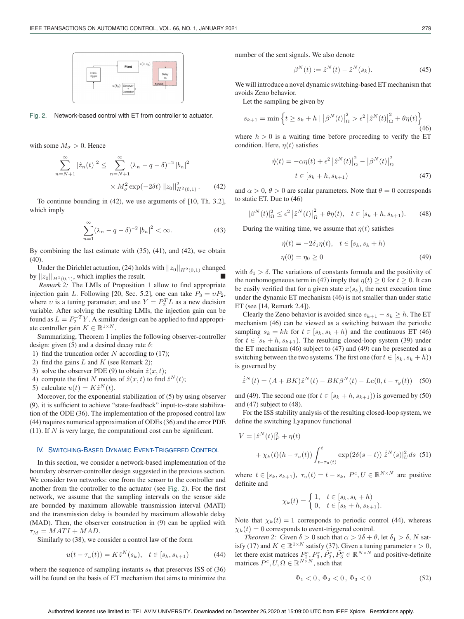

Fig. 2. Network-based control with ET from controller to actuator.

with some  $M_{\sigma} > 0$ . Hence

$$
\sum_{n=N+1}^{\infty} |\hat{z}_n(t)|^2 \le \sum_{n=N+1}^{\infty} (\lambda_n - q - \delta)^{-2} |b_n|^2
$$

$$
\times M_\sigma^2 \exp(-2\delta t) ||z_0||_{H^2(0,1)}^2. \tag{42}
$$

To continue bounding in (42), we use arguments of [10, Th. 3.2], which imply

$$
\sum_{n=1}^{\infty} (\lambda_n - q - \delta)^{-2} |b_n|^2 < \infty. \tag{43}
$$

By combining the last estimate with (35), (41), and (42), we obtain (40).

Under the Dirichlet actuation, (24) holds with  $||z_0||_{H^2(0,1)}$  changed by  $||z_0||_{H^1(0,1)}$ , which implies the result.

*Remark 2:* The LMIs of Proposition 1 allow to find appropriate injection gain L. Following [20, Sec. 5.2], one can take  $P_3 = \nu P_2$ , where v is a tuning parameter, and use  $Y = P_2^T L$  as a new decision variable. After solving the resulting LMIs, the injection gain can be found as  $L = P_2^{-T}Y$ . A similar design can be applied to find appropriate controller gain  $K \in \mathbb{R}^{1 \times N}$ .

Summarizing, Theorem 1 implies the following observer-controller design: given (5) and a desired decay rate  $\delta$ :

- 1) find the truncation order  $N$  according to (17);
- 2) find the gains  $L$  and  $K$  (see Remark 2);
- 3) solve the observer PDE (9) to obtain  $\hat{z}(x, t)$ ;
- 4) compute the first N modes of  $\hat{z}(x, t)$  to find  $\hat{z}^N(t)$ ;

5) calculate  $u(t) = K\hat{z}^N(t)$ .

Moreover, for the exponential stabilization of (5) by using observer (9), it is sufficient to achieve "state-feedback" input-to-state stabilization of the ODE (36). The implementation of the proposed control law (44) requires numerical approximation of ODEs (36) and the error PDE (11). If  $N$  is very large, the computational cost can be significant.

## IV. SWITCHING-BASED DYNAMIC EVENT-TRIGGERED CONTROL

In this section, we consider a network-based implementation of the boundary observer-controller design suggested in the previous section. We consider two networks: one from the sensor to the controller and another from the controller to the actuator (see Fig. 2). For the first network, we assume that the sampling intervals on the sensor side are bounded by maximum allowable transmission interval (MATI) and the transmission delay is bounded by maximum allowable delay (MAD). Then, the observer construction in (9) can be applied with  $\tau_M = MATI + MAD.$ 

Similarly to (38), we consider a control law of the form

$$
u(t - \tau_u(t)) = K\hat{z}^N(s_k), \quad t \in [s_k, s_{k+1})
$$
 (44)

where the sequence of sampling instants  $s_k$  that preserves ISS of (36) will be found on the basis of ET mechanism that aims to minimize the number of the sent signals. We also denote

$$
\beta^{N}(t) := \hat{z}^{N}(t) - \hat{z}^{N}(s_{k}).
$$
\n(45)

We will introduce a novel dynamic switching-based ET mechanism that avoids Zeno behavior.

Let the sampling be given by

$$
s_{k+1} = \min\left\{t \ge s_k + h \mid \left|\beta^N(t)\right|_{\Omega}^2 > \epsilon^2 \left|\hat{z}^N(t)\right|_{\Omega}^2 + \theta \eta(t)\right\}
$$
\n(46)

where  $h > 0$  is a waiting time before proceeding to verify the ET condition. Here,  $\eta(t)$  satisfies

$$
\dot{\eta}(t) = -\alpha \eta(t) + \epsilon^2 \left| \hat{z}^N(t) \right|_{\Omega}^2 - \left| \beta^N(t) \right|_{\Omega}^2
$$

$$
t \in [s_k + h, s_{k+1})
$$
(47)

and  $\alpha > 0$ ,  $\theta > 0$  are scalar parameters. Note that  $\theta = 0$  corresponds to static ET. Due to (46)

$$
|\beta^{N}(t)|_{\Omega}^{2} \leq \epsilon^{2} |\hat{z}^{N}(t)|_{\Omega}^{2} + \theta \eta(t), \quad t \in [s_{k} + h, s_{k+1}). \tag{48}
$$

During the waiting time, we assume that  $\eta(t)$  satisfies

$$
\dot{\eta}(t) = -2\delta_1 \eta(t), \quad t \in [s_k, s_k + h)
$$

$$
\eta(0) = \eta_0 \ge 0
$$
\n(49)

with  $\delta_1 > \delta$ . The variations of constants formula and the positivity of the nonhomogeneous term in (47) imply that  $\eta(t) \ge 0$  for  $t \ge 0$ . It can be easily verified that for a given state  $x(s_k)$ , the next execution time under the dynamic ET mechanism (46) is not smaller than under static ET (see [14, Remark 2.4]).

Clearly the Zeno behavior is avoided since  $s_{k+1} - s_k \geq h$ . The ET mechanism (46) can be viewed as a switching between the periodic sampling  $s_k = kh$  for  $t \in [s_k, s_k + h)$  and the continuous ET (46) for  $t \in [s_k + h, s_{k+1})$ . The resulting closed-loop system (39) under the ET mechanism (46) subject to (47) and (49) can be presented as a switching between the two systems. The first one (for  $t \in [s_k, s_k + h))$ is governed by

$$
\dot{z}^N(t) = (A + BK)\hat{z}^N(t) - BK\beta^N(t) - Le(0, t - \tau_y(t))
$$
 (50)

and (49). The second one (for  $t \in [s_k + h, s_{k+1})$ ) is governed by (50) and (47) subject to (48).

For the ISS stability analysis of the resulting closed-loop system, we define the switching Lyapunov functional

$$
V = |\hat{z}^{N}(t)|_{P}^{2} + \eta(t)
$$
  
+  $\chi_{k}(t)(h - \tau_{u}(t)) \int_{t - \tau_{u}(t)}^{t} \exp(2\delta(s - t)) |\hat{z}^{N}(s)|_{U}^{2} ds$  (51)

where  $t \in [s_k, s_{k+1}), \tau_u(t) = t - s_k, P^c, U \in \mathbb{R}^{N \times N}$  are positive definite and

$$
\chi_k(t) = \begin{cases} 1, & t \in [s_k, s_k + h) \\ 0, & t \in [s_k + h, s_{k+1}). \end{cases}
$$

Note that  $\chi_k(t)=1$  corresponds to periodic control (44), whereas  $\chi_k(t)=0$  corresponds to event-triggered control.

*Theorem 2:* Given  $\delta > 0$  such that  $\alpha > 2\delta + \theta$ , let  $\delta_1 > \delta$ , N satisfy (17) and  $K \in \mathbb{R}^{1 \times N}$  satisfy (37). Given a tuning parameter  $\epsilon > 0$ , let there exist matrices  $P_2^c, P_3^c, \tilde{P}_2^c, \tilde{P}_3^c \in \mathbb{R}^{N \times N}$  and positive-definite matrices  $P^c, U, \Omega \in \mathbb{R}^{N \times N}$ , such that

$$
\Phi_1 < 0, \, \Phi_2 < 0, \, \Phi_3 < 0 \tag{52}
$$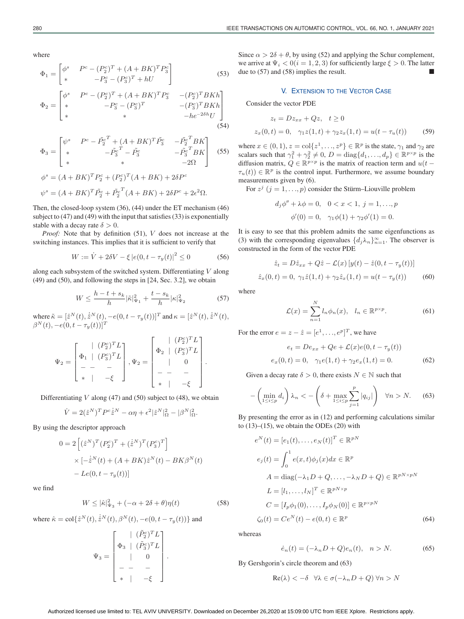where

$$
\Phi_1 = \begin{bmatrix} \phi^s & P^c - (P_2^c)^T + (A + BK)^T P_3^c \\ * & -P_3^c - (P_3^c)^T + hU \end{bmatrix}
$$
(53)

$$
\Phi_2 = \begin{bmatrix}\n\phi^s & P^c - (P_2^c)^T + (A + BK)^T P_3^c & -(P_2^c)^T BKh \\
* & -P_3^c - (P_3^c)^T & -(P_3^c)^T BKh \\
* & * & -he^{-2\delta h}U\n\end{bmatrix}
$$
\n(54)

$$
\Phi_3 = \begin{bmatrix} \psi^s & P^c - \tilde{P}_2^{c^T} + (A + BK)^T \tilde{P}_3^c & -\tilde{P}_2^{c^T} BK \\ * & -\tilde{P}_3^{c^T} - \tilde{P}_3^c & -\tilde{P}_3^{c^T} BK \\ * & * & -2\Omega \end{bmatrix}
$$
 (55)

$$
\phi^s = (A + BK)^T P_2^c + (P_2^c)^T (A + BK) + 2\delta P^c
$$
  

$$
\psi^s = (A + BK)^T \tilde{P}_2^c + \tilde{P}_2^{c^T} (A + BK) + 2\delta P^c + 2\epsilon^2 \Omega.
$$

Then, the closed-loop system (36), (44) under the ET mechanism (46) subject to (47) and (49) with the input that satisfies (33) is exponentially stable with a decay rate  $\delta > 0$ .

*Proof:* Note that by definition (51), V does not increase at the switching instances. This implies that it is sufficient to verify that

$$
W := \dot{V} + 2\delta V - \xi |e(0, t - \tau_y(t)|^2 \le 0
$$
 (56)

along each subsystem of the switched system. Differentiating  $V$  along (49) and (50), and following the steps in [24, Sec. 3.2], we obtain

$$
W \le \frac{h - t + s_k}{h} |\tilde{\kappa}|_{\Psi_1}^2 + \frac{t - s_k}{h} |\kappa|_{\Psi_2}^2 \tag{57}
$$

where  $\tilde{\kappa} = [\hat{z}^N(t), \dot{\hat{z}}^N(t), -e(0, t - \tau_y(t))]^T$  and  $\kappa = [\hat{z}^N(t), \dot{\hat{z}}^N(t),$  $\beta^N(t), -e(0,t-\tau_y(t))]^T$ 

$$
\Psi_2 = \begin{bmatrix} | & (P_2^c)^T L \\ \Phi_1 & | & (P_3^c)^T L \\ - & - & - \\ * & | & -\xi \end{bmatrix}, \Psi_2 = \begin{bmatrix} | & (P_2^c)^T L \\ \Phi_2 & | & (P_3^c)^T L \\ | & 0 \\ - & - & - \\ * & | & -\xi \end{bmatrix}.
$$

Differentiating  $V$  along (47) and (50) subject to (48), we obtain

$$
\dot{V}=2(\hat{z}^N)^TP^c\dot{z}^N-\alpha\eta+\epsilon^2|\hat{z}^N|_{\Omega}^2-|\beta^N|_{\Omega}^2.
$$

By using the descriptor approach

$$
0 = 2\left[ (\hat{z}^N)^T (P_2^c)^T + (\hat{z}^N)^T (P_3^c)^T \right]
$$
  
 
$$
\times \left[ -\hat{z}^N(t) + (A + BK)\hat{z}^N(t) - BK\beta^N(t) \right]
$$
  
- 
$$
Le(0, t - \tau_y(t))
$$

we find

$$
W \le |\hat{\kappa}|^2_{\Psi_3} + (-\alpha + 2\delta + \theta)\eta(t) \tag{58}
$$

where 
$$
\hat{\kappa} = \text{col}\{\hat{z}^N(t), \dot{\hat{z}}^N(t), \beta^N(t), -e(0, t - \tau_y(t))\}
$$
 and

$$
\Psi_3 = \begin{bmatrix} | & (\tilde{P}_2^c)^T L \\ \Phi_3 & | & (\tilde{P}_3^c)^T L \\ | & 0 \\ - & - & - \\ * & | & -\xi \end{bmatrix}.
$$

Since  $\alpha > 2\delta + \theta$ , by using (52) and applying the Schur complement, we arrive at  $\Psi_i < 0$  ( $i = 1, 2, 3$ ) for sufficiently large  $\xi > 0$ . The latter due to  $(57)$  and  $(58)$  implies the result.

## V. EXTENSION TO THE VECTOR CASE

Consider the vector PDE

$$
z_t = Dz_{xx} + Qz, \quad t \ge 0
$$
  

$$
z_x(0, t) = 0, \quad \gamma_1 z(1, t) + \gamma_2 z_x(1, t) = u(t - \tau_u(t))
$$
 (59)

where  $x \in (0, 1)$ ,  $z = \text{col}\{z^1, \ldots, z^p\} \in \mathbb{R}^p$  is the state,  $\gamma_1$  and  $\gamma_2$  are scalars such that  $\gamma_1^2 + \gamma_2^2 \neq 0$ ,  $D = \text{diag}\{d_1, ..., d_p\} \in \mathbb{R}^{p \times p}$  is the diffusion matrix,  $Q \in \mathbb{R}^{p \times p}$  is the matrix of reaction term and  $u(t \tau_u(t)$ )  $\in \mathbb{R}^p$  is the control input. Furthermore, we assume boundary measurements given by (6).

For  $z^j$   $(j = 1, ..., p)$  consider the Stürm–Liouville problem

$$
d_j \phi'' + \lambda \phi = 0, \quad 0 < x < 1, \ j = 1, \dots, p
$$
\n
$$
\phi'(0) = 0, \quad \gamma_1 \phi(1) + \gamma_2 \phi'(1) = 0.
$$

It is easy to see that this problem admits the same eigenfunctions as (3) with the corresponding eigenvalues  $\{d_j \lambda_n\}_{n=1}^{\infty}$ . The observer is constructed in the form of the vector PDE

$$
\hat{z}_t = D\hat{z}_{xx} + Q\hat{z} - \mathcal{L}(x) [y(t) - \hat{z}(0, t - \tau_y(t))]
$$
  

$$
\hat{z}_x(0, t) = 0, \ \gamma_1 \hat{z}(1, t) + \gamma_2 \hat{z}_x(1, t) = u(t - \tau_y(t))
$$
 (60)

where

$$
\mathcal{L}(x) = \sum_{n=1}^{N} l_n \phi_n(x), \quad l_n \in \mathbb{R}^{p \times p}.
$$
 (61)

For the error  $e = z - \hat{z} = [e^1, \dots, e^p]^T$ , we have

$$
e_t = De_{xx} + Qe + \mathcal{L}(x)e(0, t - \tau_y(t))
$$
  

$$
e_x(0, t) = 0, \quad \gamma_1 e(1, t) + \gamma_2 e_x(1, t) = 0.
$$
 (62)

Given a decay rate  $\delta > 0$ , there exists  $N \in \mathbb{N}$  such that

$$
-\left(\min_{1\leq i\leq p} d_i\right)\lambda_n < -\left(\delta + \max_{1\leq i\leq p} \sum_{j=1}^p |q_{ij}|\right) \quad \forall n > N. \tag{63}
$$

By presenting the error as in (12) and performing calculations similar to  $(13)$ – $(15)$ , we obtain the ODEs  $(20)$  with

$$
e^N(t) = [e_1(t), \dots, e_N(t)]^T \in \mathbb{R}^{pN}
$$
  
\n
$$
e_j(t) = \int_0^1 e(x, t)\phi_j(x)dx \in \mathbb{R}^p
$$
  
\n
$$
A = \text{diag}(-\lambda_1 D + Q, \dots, -\lambda_N D + Q) \in \mathbb{R}^{pN \times pN}
$$
  
\n
$$
L = [l_1, \dots, l_N]^T \in \mathbb{R}^{pN \times p}
$$
  
\n
$$
C = [I_p \phi_1(0), \dots, I_p \phi_N(0)] \in \mathbb{R}^{p \times pN}
$$
  
\n
$$
\zeta_0(t) = Ce^N(t) - e(0, t) \in \mathbb{R}^p
$$
\n(64)

whereas

$$
\dot{e}_n(t) = (-\lambda_n D + Q)e_n(t), \quad n > N. \tag{65}
$$

By Gershgorin's circle theorem and (63)

$$
\operatorname{Re}(\lambda) < -\delta \quad \forall \lambda \in \sigma(-\lambda_n D + Q) \,\forall n > N
$$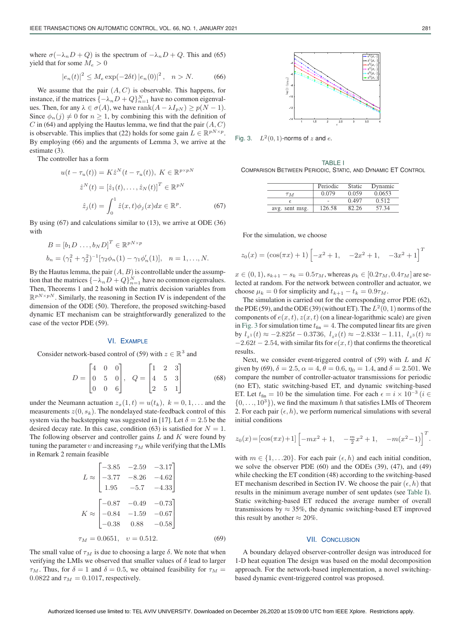where  $\sigma(-\lambda_n D + Q)$  is the spectrum of  $-\lambda_n D + Q$ . This and (65) yield that for some  $M_e > 0$ 

$$
|e_n(t)|^2 \le M_e \exp(-2\delta t) |e_n(0)|^2, \quad n > N.
$$
 (66)

We assume that the pair  $(A, C)$  is observable. This happens, for instance, if the matrices  $\{-\lambda_n D + Q\}_{n=1}^N$  have no common eigenvalues. Then, for any  $\lambda \in \sigma(A)$ , we have rank $(A - \lambda I_{pN}) \ge p(N - 1)$ . Since  $\phi_n(j) \neq 0$  for  $n \geq 1$ , by combining this with the definition of C in (64) and applying the Hautus lemma, we find that the pair  $(A, C)$ is observable. This implies that (22) holds for some gain  $L \in \mathbb{R}^{pN \times p}$ . By employing (66) and the arguments of Lemma 3, we arrive at the estimate (3).

The controller has a form

$$
u(t - \tau_u(t)) = K\hat{z}^N(t - \tau_u(t)), \ K \in \mathbb{R}^{p \times pN}
$$

$$
\hat{z}^N(t) = \left[\hat{z}_1(t), \dots, \hat{z}_N(t)\right]^T \in \mathbb{R}^{pN}
$$

$$
\hat{z}_j(t) = \int_0^1 \hat{z}(x, t)\phi_j(x)dx \in \mathbb{R}^p. \tag{67}
$$

By using (67) and calculations similar to (13), we arrive at ODE (36) with

$$
B = [b_1 D \dots, b_N D]^T \in \mathbb{R}^{pN \times p}
$$
  

$$
b_n = (\gamma_1^2 + \gamma_2^2)^{-1} [\gamma_2 \phi_n(1) - \gamma_1 \phi'_n(1)], \quad n = 1, ..., N.
$$

By the Hautus lemma, the pair  $(A, B)$  is controllable under the assumption that the matrices  $\{-\lambda_n D + Q\}_{n=1}^N$  have no common eigenvalues. Then, Theorems 1 and 2 hold with the matrix decision variables from  $\mathbb{R}^{pN\times pN}$ . Similarly, the reasoning in Section IV is independent of the dimension of the ODE (50). Therefore, the proposed switching-based dynamic ET mechanism can be straightforwardly generalized to the case of the vector PDE (59).

### VI. EXAMPLE

Consider network-based control of (59) with  $z \in \mathbb{R}^3$  and

$$
D = \begin{bmatrix} 4 & 0 & 0 \\ 0 & 5 & 0 \\ 0 & 0 & 6 \end{bmatrix}, \quad Q = \begin{bmatrix} 1 & 2 & 3 \\ 4 & 5 & 3 \\ 2 & 5 & 1 \end{bmatrix}
$$
 (68)

under the Neumann actuation  $z_x(1, t) = u(t_k)$ ,  $k = 0, 1, \dots$  and the measurements  $z(0, s_k)$ . The nondelayed state-feedback control of this system via the backstepping was suggested in [17]. Let  $\delta = 2.5$  be the desired decay rate. In this case, condition (63) is satisfied for  $N = 1$ . The following observer and controller gains  $L$  and  $K$  were found by tuning the parameter  $v$  and increasing  $\tau_M$  while verifying that the LMIs in Remark 2 remain feasible

$$
L \approx \begin{bmatrix} -3.85 & -2.59 & -3.17 \\ -3.77 & -8.26 & -4.62 \\ 1.95 & -5.7 & -4.33 \end{bmatrix}
$$

$$
K \approx \begin{bmatrix} -0.87 & -0.49 & -0.73 \\ -0.84 & -1.59 & -0.67 \\ -0.38 & 0.88 & -0.58 \end{bmatrix}
$$

$$
\tau_M = 0.0651, \quad v = 0.512. \tag{69}
$$

The small value of  $\tau_M$  is due to choosing a large  $\delta$ . We note that when verifying the LMIs we observed that smaller values of  $\delta$  lead to larger  $\tau_M$ . Thus, for  $\delta = 1$  and  $\delta = 0.5$ , we obtained feasibility for  $\tau_M =$ 0.0822 and  $\tau_M = 0.1017$ , respectively.



Fig. 3.  $L^2(0,1)$ -norms of *z* and *e*.

TABLE I COMPARISON BETWEEN PERIODIC, STATIC, AND DYNAMIC ET CONTROL

|                | Periodic | Static | Dynamic |
|----------------|----------|--------|---------|
| T M            | 0.079    | 0.059  | 0.0653  |
|                |          | 0.497  | 0.512   |
| avg. sent msg. | 126.58   |        | -57.34  |

For the simulation, we choose

$$
z_0(x) = (\cos(\pi x) + 1) \begin{bmatrix} -x^2 + 1, & -2x^2 + 1, & -3x^2 + 1 \end{bmatrix}^T
$$

 $x \in (0, 1), s_{k+1} - s_k = 0.5\tau_M$ , whereas  $\rho_k \in [0.2\tau_M, 0.4\tau_M]$  are selected at random. For the network between controller and actuator, we choose  $\mu_k = 0$  for simplicity and  $t_{k+1} - t_k = 0.9\tau_M$ .

The simulation is carried out for the corresponding error PDE (62), the PDE (59), and the ODE (39) (without ET). The  $L^2(0, 1)$  norms of the components of  $e(x, t)$ ,  $z(x, t)$  (on a linear-logarithmic scale) are given in Fig. 3 for simulation time  $t_{fin} = 4$ . The computed linear fits are given by  $l_{z1}(t) \approx -2.825t - 0.3736$ ,  $l_{z2}(t) \approx -2.833t - 1.11$ ,  $l_{z3}(t) \approx$  $-2.62t - 2.54$ , with similar fits for  $e(x, t)$  that confirms the theoretical results.

Next, we consider event-triggered control of  $(59)$  with L and K given by (69),  $\delta = 2.5$ ,  $\alpha = 4$ ,  $\theta = 0.6$ ,  $\eta_0 = 1.4$ , and  $\delta = 2.501$ . We compare the number of controller-actuator transmissions for periodic (no ET), static switching-based ET, and dynamic switching-based ET. Let  $t_{fin} = 10$  be the simulation time. For each  $\epsilon = i \times 10^{-3}$  ( $i \in$  $\{0, \ldots, 10^3\}$ , we find the maximum h that satisfies LMIs of Theorem 2. For each pair  $(\epsilon, h)$ , we perform numerical simulations with several initial conditions

$$
z_0(x) = \left[\cos(\pi x) + 1\right] \left[-mx^2 + 1, -\frac{m}{2}x^2 + 1, -m(x^2 - 1)\right]^T.
$$

with  $m \in \{1, \ldots, 20\}$ . For each pair  $(\epsilon, h)$  and each initial condition, we solve the observer PDE (60) and the ODEs (39), (47), and (49) while checking the ET condition (48) according to the switching-based ET mechanism described in Section IV. We choose the pair  $(\epsilon, h)$  that results in the minimum average number of sent updates (see Table I). Static switching-based ET reduced the average number of overall transmissions by  $\approx 35\%$ , the dynamic switching-based ET improved this result by another  $\approx 20\%$ .

#### VII. CONCLUSION

A boundary delayed observer-controller design was introduced for 1-D heat equation The design was based on the modal decomposition approach. For the network-based implementation, a novel switchingbased dynamic event-triggered control was proposed.